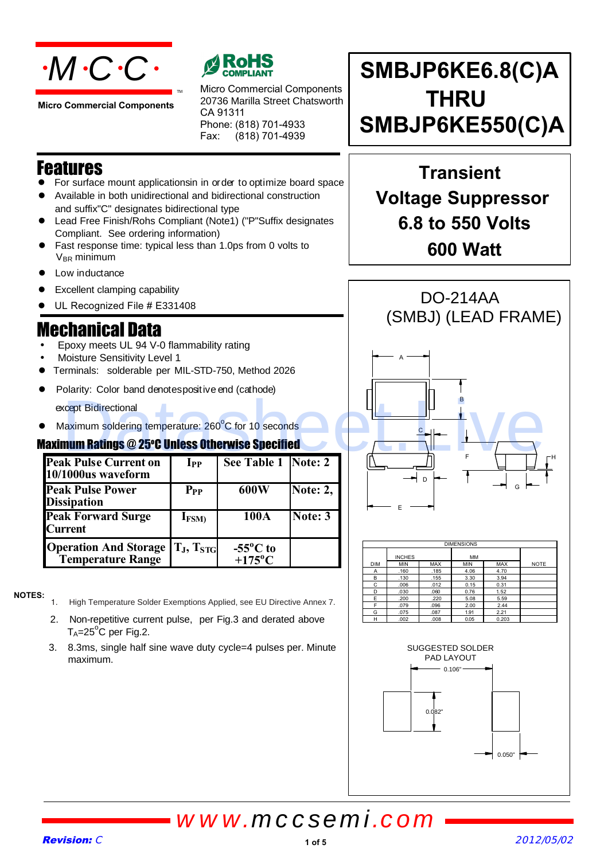

**Micro Commercial Components**



Micro Commercial Components 20736 Marilla Street Chatsworth CA 91311 Phone: (818) 701-4933 Fax: (818) 701-4939

**SMBJP6KE6.8(C)A THRU SMBJP6KE550(C)A**

## Features

- For surface mount applicationsin in order to optimize board space
- Available in both unidirectional and bidirectional construction
- Lead Free Finish/Rohs Compliant (Note1) ("P"Suffix designates Compliant. See ordering information) and suffix"C" designates bidirectional type

TM

- $V_{BR}$  minimum Fast response time: typical less than 1.0ps from 0 volts to
- Low inductance
- 
- UL Recognized File # E331408

## Mechanical Data

- Epoxy meets UL 94 V-0 flammability rating
- Moisture Sensitivity Level 1
- Terminals: solderable per MIL-STD-750, Method 2026
- Polarity: Color band denotespositive end (cathode)

except Bidirectional

• Maximum soldering temperature: 260°C for 10 seconds

## **Maximum Ratings @ 25°C Unless Otherwise Specified**

| <b>Peak Pulse Current on</b><br>10/1000us waveform       | $\mathbf{I}_{\mathbf{PP}}$ | See Table 1 Note: 2                         |          |
|----------------------------------------------------------|----------------------------|---------------------------------------------|----------|
| <b>Peak Pulse Power</b><br><b>Dissipation</b>            | $P_{PP}$                   | 600W                                        | Note: 2, |
| <b>Peak Forward Surge</b><br><b>Current</b>              | $I_{FSM}$                  | 100A                                        | Note: 3  |
| <b>Operation And Storage</b><br><b>Temperature Range</b> | $T_J, T_{STG}$             | $-55^{\circ}$ C to<br>$+175$ <sup>o</sup> C |          |

#### **NOTES:**

- 1. High Temperature Solder Exemptions Applied, see EU Directive Annex 7.
	- 2. Non-repetitive current pulse, per Fig.3 and derated above  $T_A = 25^\circ C$  per Fig.2.
	- 3. 8.3ms, single half sine wave duty cycle=4 pulses per. Minute maximum.

**Transient Voltage Suppressor 6.8 to 550 Volts 600 Watt**



| <b>DIMENSIONS</b> |               |            |            |            |             |
|-------------------|---------------|------------|------------|------------|-------------|
|                   | <b>INCHES</b> |            | MM         |            |             |
| <b>DIM</b>        | <b>MIN</b>    | <b>MAX</b> | <b>MIN</b> | <b>MAX</b> | <b>NOTE</b> |
| A                 | .160          | .185       | 4.06       | 4.70       |             |
| B                 | .130          | .155       | 3.30       | 3.94       |             |
| C                 | .006          | .012       | 0.15       | 0.31       |             |
| D                 | .030          | .060       | 0.76       | 1.52       |             |
| E                 | .200          | .220       | 5.08       | 5.59       |             |
| F                 | .079          | .096       | 2.00       | 2.44       |             |
| G                 | .075          | .087       | 1.91       | 2.21       |             |
| н                 | .002          | .008       | 0.05       | 0.203      |             |

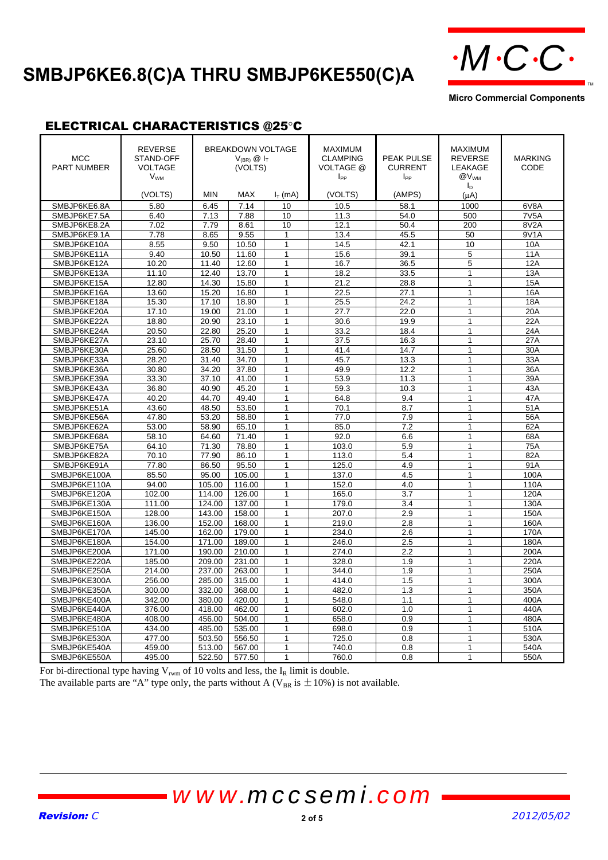# SMBJP6KE6.8(C)A THRU SMBJP6KE550(C)A  $\cdot M$ C·C·



**Micro Commercial Components**

#### ELECTRICAL CHARACTERISTICS @25°C

| <b>MCC</b><br><b>PART NUMBER</b> | <b>REVERSE</b><br>STAND-OFF<br><b>VOLTAGE</b><br><b>V<sub>WM</sub></b><br>(VOLTS) | <b>MIN</b> | <b>BREAKDOWN VOLTAGE</b><br>$V_{(BR)}$ $\circledR$ $I_T$<br>(VOLTS)<br><b>MAX</b> | $I_T$ (mA)        | <b>MAXIMUM</b><br><b>CLAMPING</b><br>VOLTAGE @<br>I <sub>PP</sub><br>(VOLTS) | <b>PEAK PULSE</b><br><b>CURRENT</b><br>$I_{PP}$<br>(AMPS) | <b>MAXIMUM</b><br><b>REVERSE</b><br>LEAKAGE<br>@V <sub>WM</sub><br>I <sub>D</sub><br>$(\mu A)$ | <b>MARKING</b><br>CODE |
|----------------------------------|-----------------------------------------------------------------------------------|------------|-----------------------------------------------------------------------------------|-------------------|------------------------------------------------------------------------------|-----------------------------------------------------------|------------------------------------------------------------------------------------------------|------------------------|
| SMBJP6KE6.8A                     | 5.80                                                                              | 6.45       | 7.14                                                                              | 10                | 10.5                                                                         | 58.1                                                      | 1000                                                                                           | 6V8A                   |
|                                  |                                                                                   |            | 7.88                                                                              |                   |                                                                              |                                                           |                                                                                                | 7V <sub>5</sub> A      |
| SMBJP6KE7.5A                     | 6.40                                                                              | 7.13       |                                                                                   | 10                | 11.3                                                                         | 54.0                                                      | 500                                                                                            | 8V <sub>2</sub> A      |
| SMBJP6KE8.2A                     | 7.02                                                                              | 7.79       | 8.61                                                                              | 10                | 12.1                                                                         | 50.4                                                      | 200                                                                                            |                        |
| SMBJP6KE9.1A                     | 7.78                                                                              | 8.65       | 9.55                                                                              | 1<br>$\mathbf{1}$ | 13.4                                                                         | 45.5                                                      | 50<br>10                                                                                       | 9V1A                   |
| SMBJP6KE10A                      | 8.55                                                                              | 9.50       | 10.50                                                                             |                   | 14.5                                                                         | 42.1                                                      |                                                                                                | 10A                    |
| SMBJP6KE11A                      | 9.40                                                                              | 10.50      | 11.60                                                                             | $\mathbf{1}$      | 15.6                                                                         | 39.1                                                      | 5                                                                                              | 11A                    |
| SMBJP6KE12A                      | 10.20                                                                             | 11.40      | 12.60                                                                             | $\mathbf{1}$      | 16.7                                                                         | 36.5                                                      | 5<br>$\overline{1}$                                                                            | 12A                    |
| SMBJP6KE13A                      | 11.10                                                                             | 12.40      | 13.70                                                                             | $\mathbf{1}$      | 18.2                                                                         | 33.5                                                      |                                                                                                | 13A                    |
| SMBJP6KE15A                      | 12.80                                                                             | 14.30      | 15.80                                                                             | $\mathbf{1}$      | 21.2                                                                         | 28.8                                                      | $\mathbf{1}$                                                                                   | 15A                    |
| SMBJP6KE16A                      | 13.60                                                                             | 15.20      | 16.80                                                                             | 1                 | 22.5                                                                         | 27.1                                                      | 1                                                                                              | 16A                    |
| SMBJP6KE18A                      | 15.30                                                                             | 17.10      | 18.90                                                                             | $\mathbf{1}$      | 25.5                                                                         | 24.2                                                      | $\mathbf{1}$                                                                                   | 18A                    |
| SMBJP6KE20A                      | 17.10                                                                             | 19.00      | 21.00                                                                             | $\mathbf{1}$      | 27.7                                                                         | 22.0                                                      | $\mathbf{1}$                                                                                   | 20A                    |
| SMBJP6KE22A                      | 18.80                                                                             | 20.90      | 23.10                                                                             | $\mathbf{1}$      | 30.6                                                                         | 19.9                                                      | $\mathbf{1}$                                                                                   | 22A                    |
| SMBJP6KE24A                      | 20.50                                                                             | 22.80      | 25.20                                                                             | $\mathbf{1}$      | 33.2                                                                         | 18.4                                                      | $\mathbf{1}$                                                                                   | 24A                    |
| SMBJP6KE27A                      | 23.10                                                                             | 25.70      | 28.40                                                                             | 1                 | 37.5                                                                         | 16.3                                                      | 1                                                                                              | 27A                    |
| SMBJP6KE30A                      | 25.60                                                                             | 28.50      | 31.50                                                                             | $\mathbf{1}$      | 41.4                                                                         | 14.7                                                      | $\mathbf{1}$                                                                                   | 30A                    |
| SMBJP6KE33A                      | 28.20                                                                             | 31.40      | 34.70                                                                             | $\mathbf{1}$      | 45.7                                                                         | 13.3                                                      | $\mathbf{1}$                                                                                   | 33A                    |
| SMBJP6KE36A                      | 30.80                                                                             | 34.20      | 37.80                                                                             | $\mathbf{1}$      | 49.9                                                                         | 12.2                                                      | 1                                                                                              | 36A                    |
| SMBJP6KE39A                      | 33.30                                                                             | 37.10      | 41.00                                                                             | $\mathbf{1}$      | 53.9                                                                         | 11.3                                                      | $\overline{1}$                                                                                 | 39A                    |
| SMBJP6KE43A                      | 36.80                                                                             | 40.90      | 45.20                                                                             | $\mathbf{1}$      | 59.3                                                                         | 10.3                                                      | $\mathbf{1}$                                                                                   | 43A                    |
| SMBJP6KE47A                      | 40.20                                                                             | 44.70      | 49.40                                                                             | 1                 | 64.8                                                                         | 9.4                                                       | 1                                                                                              | 47A                    |
| SMBJP6KE51A                      | 43.60                                                                             | 48.50      | 53.60                                                                             | $\mathbf{1}$      | 70.1                                                                         | 8.7                                                       | $\mathbf{1}$                                                                                   | 51A                    |
| SMBJP6KE56A                      | 47.80                                                                             | 53.20      | 58.80                                                                             | $\mathbf{1}$      | 77.0                                                                         | 7.9                                                       | $\mathbf{1}$                                                                                   | 56A                    |
| SMBJP6KE62A                      | 53.00                                                                             | 58.90      | 65.10                                                                             | $\mathbf{1}$      | 85.0                                                                         | 7.2                                                       | $\mathbf{1}$                                                                                   | 62A                    |
| SMBJP6KE68A                      | 58.10                                                                             | 64.60      | 71.40                                                                             | 1                 | 92.0                                                                         | 6.6                                                       | 1                                                                                              | 68A                    |
| SMBJP6KE75A                      | 64.10                                                                             | 71.30      | 78.80                                                                             | $\mathbf{1}$      | 103.0                                                                        | 5.9                                                       | 1                                                                                              | 75A                    |
| SMBJP6KE82A                      | 70.10                                                                             | 77.90      | 86.10                                                                             | $\mathbf{1}$      | 113.0                                                                        | 5.4                                                       | $\mathbf{1}$                                                                                   | 82A                    |
| SMBJP6KE91A                      | 77.80                                                                             | 86.50      | 95.50                                                                             | $\mathbf{1}$      | 125.0                                                                        | 4.9                                                       | 1                                                                                              | 91A                    |
| SMBJP6KE100A                     | 85.50                                                                             | 95.00      | 105.00                                                                            | 1                 | 137.0                                                                        | 4.5                                                       | 1                                                                                              | 100A                   |
| SMBJP6KE110A                     | 94.00                                                                             | 105.00     | 116.00                                                                            | 1                 | 152.0                                                                        | 4.0                                                       | $\mathbf{1}$                                                                                   | 110A                   |
| SMBJP6KE120A                     | 102.00                                                                            | 114.00     | 126.00                                                                            | $\mathbf{1}$      | 165.0                                                                        | 3.7                                                       | $\mathbf{1}$                                                                                   | 120A                   |
| SMBJP6KE130A                     | 111.00                                                                            | 124.00     | 137.00                                                                            | 1                 | 179.0                                                                        | 3.4                                                       | $\mathbf{1}$                                                                                   | 130A                   |
| SMBJP6KE150A                     | 128.00                                                                            | 143.00     | 158.00                                                                            | $\mathbf{1}$      | 207.0                                                                        | 2.9                                                       | $\mathbf{1}$                                                                                   | 150A                   |
| SMBJP6KE160A                     | 136.00                                                                            | 152.00     | 168.00                                                                            | $\mathbf{1}$      | 219.0                                                                        | 2.8                                                       | 1                                                                                              | 160A                   |
| SMBJP6KE170A                     | 145.00                                                                            | 162.00     | 179.00                                                                            | 1                 | 234.0                                                                        | 2.6                                                       | 1                                                                                              | 170A                   |
| SMBJP6KE180A                     | 154.00                                                                            | 171.00     | 189.00                                                                            | 1                 | 246.0                                                                        | 2.5                                                       | 1                                                                                              | 180A                   |
| SMBJP6KE200A                     | 171.00                                                                            | 190.00     | 210.00                                                                            | 1                 | 274.0                                                                        | 2.2                                                       | $\mathbf{1}$                                                                                   | 200A                   |
| SMBJP6KE220A                     | 185.00                                                                            | 209.00     | 231.00                                                                            | $\mathbf{1}$      | 328.0                                                                        | 1.9                                                       | $\mathbf{1}$                                                                                   | 220A                   |
| SMBJP6KE250A                     | 214.00                                                                            | 237.00     | 263.00                                                                            | 1                 | 344.0                                                                        | 1.9                                                       | $\mathbf{1}$                                                                                   | 250A                   |
| SMBJP6KE300A                     | 256.00                                                                            | 285.00     | 315.00                                                                            | 1                 | 414.0                                                                        | 1.5                                                       | 1                                                                                              | 300A                   |
| SMBJP6KE350A                     | 300.00                                                                            | 332.00     | 368.00                                                                            | 1                 | 482.0                                                                        | 1.3                                                       | $\mathbf{1}$                                                                                   | 350A                   |
| SMBJP6KE400A                     | 342.00                                                                            | 380.00     | 420.00                                                                            | $\mathbf{1}$      | 548.0                                                                        | 1.1                                                       | $\mathbf{1}$                                                                                   | 400A                   |
| SMBJP6KE440A                     | 376.00                                                                            | 418.00     | 462.00                                                                            | 1                 | 602.0                                                                        | 1.0                                                       | 1                                                                                              | 440A                   |
| SMBJP6KE480A                     | 408.00                                                                            | 456.00     | 504.00                                                                            | $\mathbf{1}$      | 658.0                                                                        | 0.9                                                       | $\mathbf{1}$                                                                                   | 480A                   |
| SMBJP6KE510A                     | 434.00                                                                            | 485.00     | 535.00                                                                            | $\mathbf{1}$      | 698.0                                                                        | 0.9                                                       | 1                                                                                              | 510A                   |
| SMBJP6KE530A                     | 477.00                                                                            | 503.50     | 556.50                                                                            | 1                 | 725.0                                                                        | 0.8                                                       | $\mathbf{1}$                                                                                   | 530A                   |
| SMBJP6KE540A                     | 459.00                                                                            | 513.00     | 567.00                                                                            | 1                 | 740.0                                                                        | 0.8                                                       | 1                                                                                              | 540A                   |
| SMBJP6KE550A                     | 495.00                                                                            | 522.50     | 577.50                                                                            | $\mathbf{1}$      | 760.0                                                                        | 0.8                                                       | 1                                                                                              | 550A                   |

For bi-directional type having  $V_{\text{rwm}}$  of 10 volts and less, the  $I_R$  limit is double.

The available parts are "A" type only, the parts without A ( $V_{BR}$  is  $\pm 10\%$ ) is not available.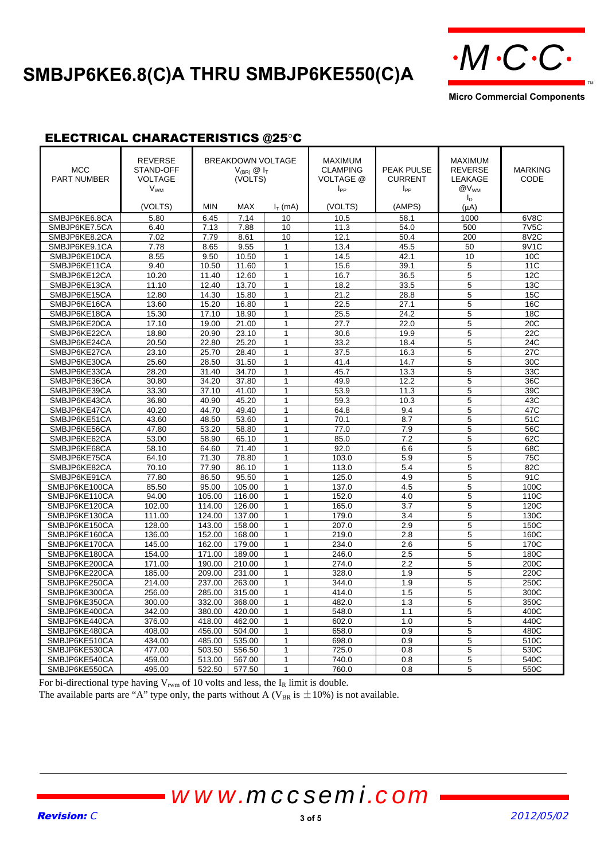# SMBJP6KE6.8(C)A THRU SMBJP6KE550(C)A  $\cdot M \cdot C \cdot C$



**Micro Commercial Components**

TM

### ELECTRICAL CHARACTERISTICS @25°C

| <b>MCC</b><br><b>PART NUMBER</b> | <b>REVERSE</b><br>STAND-OFF<br><b>VOLTAGE</b><br><b>V<sub>WM</sub></b><br>(VOLTS) | <b>MIN</b>     | <b>BREAKDOWN VOLTAGE</b><br>$V_{(BR)}$ $\circledR$ $I_T$<br>(VOLTS)<br><b>MAX</b> | $IT$ (mA)           | <b>MAXIMUM</b><br><b>CLAMPING</b><br>VOLTAGE @<br>$I_{PP}$<br>(VOLTS) | <b>PEAK PULSE</b><br><b>CURRENT</b><br>$I_{PP}$<br>(AMPS) | <b>MAXIMUM</b><br><b>REVERSE</b><br>LEAKAGE<br>@V <sub>WM</sub><br>$I_{\text{D}}$<br>$(\mu A)$ | <b>MARKING</b><br>CODE |
|----------------------------------|-----------------------------------------------------------------------------------|----------------|-----------------------------------------------------------------------------------|---------------------|-----------------------------------------------------------------------|-----------------------------------------------------------|------------------------------------------------------------------------------------------------|------------------------|
| SMBJP6KE6.8CA                    | 5.80                                                                              | 6.45           | 7.14                                                                              | 10                  | 10.5                                                                  | 58.1                                                      | 1000                                                                                           | 6V8C                   |
| SMBJP6KE7.5CA                    | 6.40                                                                              | 7.13           | 7.88                                                                              | 10                  | 11.3                                                                  | 54.0                                                      | 500                                                                                            | 7V <sub>5</sub> C      |
| SMBJP6KE8.2CA                    | 7.02                                                                              | 7.79           | 8.61                                                                              | 10                  | 12.1                                                                  | 50.4                                                      | 200                                                                                            | 8V2C                   |
| SMBJP6KE9.1CA                    | 7.78                                                                              | 8.65           | 9.55                                                                              | 1                   | 13.4                                                                  | 45.5                                                      | 50                                                                                             | 9V1C                   |
| SMBJP6KE10CA                     | 8.55                                                                              | 9.50           | 10.50                                                                             | $\mathbf{1}$        | 14.5                                                                  | 42.1                                                      | 10                                                                                             | 10 <sub>C</sub>        |
| SMBJP6KE11CA                     | 9.40                                                                              | 10.50          | 11.60                                                                             | $\mathbf{1}$        | 15.6                                                                  | 39.1                                                      | 5                                                                                              | 11C                    |
| SMBJP6KE12CA                     | 10.20                                                                             | 11.40          | 12.60                                                                             | 1                   | 16.7                                                                  | 36.5                                                      | 5                                                                                              | 12C                    |
| SMBJP6KE13CA                     | 11.10                                                                             | 12.40          | 13.70                                                                             | $\mathbf{1}$        | 18.2                                                                  | 33.5                                                      | 5                                                                                              | 13C                    |
| SMBJP6KE15CA                     | 12.80                                                                             | 14.30          | 15.80                                                                             | $\mathbf{1}$        | 21.2                                                                  | 28.8                                                      | 5                                                                                              | 15C                    |
| SMBJP6KE16CA                     | 13.60                                                                             | 15.20          | 16.80                                                                             | 1                   | 22.5                                                                  | 27.1                                                      | 5                                                                                              | 16C                    |
| SMBJP6KE18CA                     | 15.30                                                                             | 17.10          | 18.90                                                                             | $\mathbf{1}$        | 25.5                                                                  | 24.2                                                      | 5                                                                                              | 18C                    |
| SMBJP6KE20CA                     | 17.10                                                                             | 19.00          | 21.00                                                                             | $\mathbf{1}$        | 27.7                                                                  | 22.0                                                      | 5                                                                                              | 20C                    |
| SMBJP6KE22CA                     | 18.80                                                                             | 20.90          | 23.10                                                                             | $\mathbf{1}$        | 30.6                                                                  | 19.9                                                      | 5                                                                                              | 22C                    |
| SMBJP6KE24CA                     | 20.50                                                                             | 22.80          | 25.20                                                                             | $\mathbf{1}$        | 33.2                                                                  | 18.4                                                      | 5                                                                                              | 24C                    |
| SMBJP6KE27CA                     | 23.10                                                                             | 25.70          | 28.40                                                                             | 1                   | 37.5                                                                  | 16.3                                                      | 5                                                                                              | 27C                    |
| SMBJP6KE30CA                     | 25.60                                                                             | 28.50          | 31.50                                                                             | 1                   | 41.4                                                                  | 14.7                                                      | 5                                                                                              | 30C                    |
|                                  |                                                                                   |                |                                                                                   | $\mathbf{1}$        | 45.7                                                                  |                                                           | 5                                                                                              | 33C                    |
| SMBJP6KE33CA                     | 28.20<br>30.80                                                                    | 31.40<br>34.20 | 34.70<br>37.80                                                                    |                     |                                                                       | 13.3<br>12.2                                              | 5                                                                                              | 36C                    |
| SMBJP6KE36CA                     |                                                                                   | 37.10          |                                                                                   | 1<br>$\overline{1}$ | 49.9                                                                  |                                                           |                                                                                                |                        |
| SMBJP6KE39CA                     | 33.30                                                                             |                | 41.00                                                                             | $\mathbf{1}$        | 53.9                                                                  | 11.3                                                      | 5                                                                                              | 39C                    |
| SMBJP6KE43CA                     | 36.80                                                                             | 40.90          | 45.20                                                                             | $\mathbf{1}$        | 59.3                                                                  | 10.3                                                      | 5                                                                                              | 43C                    |
| SMBJP6KE47CA                     | 40.20                                                                             | 44.70          | 49.40                                                                             | 1                   | 64.8                                                                  | 9.4                                                       | 5                                                                                              | 47C                    |
| SMBJP6KE51CA                     | 43.60                                                                             | 48.50          | 53.60                                                                             | $\overline{1}$      | 70.1                                                                  | 8.7                                                       | 5                                                                                              | 51C                    |
| SMBJP6KE56CA                     | 47.80                                                                             | 53.20          | 58.80                                                                             |                     | 77.0                                                                  | 7.9                                                       | $\overline{5}$                                                                                 | 56C                    |
| SMBJP6KE62CA                     | 53.00                                                                             | 58.90          | 65.10                                                                             | $\mathbf{1}$        | 85.0                                                                  | 7.2                                                       | 5                                                                                              | 62C                    |
| SMBJP6KE68CA                     | 58.10                                                                             | 64.60          | 71.40                                                                             | $\mathbf{1}$        | 92.0                                                                  | 6.6                                                       | 5                                                                                              | 68C                    |
| SMBJP6KE75CA                     | 64.10                                                                             | 71.30          | 78.80                                                                             | $\mathbf{1}$        | 103.0                                                                 | 5.9                                                       | 5                                                                                              | 75C                    |
| SMBJP6KE82CA                     | 70.10                                                                             | 77.90          | 86.10                                                                             | $\overline{1}$      | 113.0                                                                 | 5.4                                                       | $\overline{5}$                                                                                 | 82C                    |
| SMBJP6KE91CA                     | 77.80                                                                             | 86.50          | 95.50                                                                             | $\mathbf{1}$        | 125.0                                                                 | 4.9                                                       | 5                                                                                              | 91C                    |
| SMBJP6KE100CA                    | 85.50                                                                             | 95.00          | 105.00                                                                            | $\mathbf{1}$        | 137.0                                                                 | 4.5                                                       | $\overline{5}$                                                                                 | 100C                   |
| SMBJP6KE110CA                    | 94.00                                                                             | 105.00         | 116.00                                                                            | $\mathbf{1}$        | 152.0                                                                 | 4.0                                                       | 5                                                                                              | 110C                   |
| SMBJP6KE120CA                    | 102.00                                                                            | 114.00         | 126.00                                                                            | 1                   | 165.0                                                                 | 3.7                                                       | 5                                                                                              | 120C                   |
| SMBJP6KE130CA                    | 111.00                                                                            | 124.00         | 137.00                                                                            | $\mathbf{1}$        | 179.0                                                                 | 3.4                                                       | 5                                                                                              | 130C                   |
| SMBJP6KE150CA                    | 128.00                                                                            | 143.00         | 158.00                                                                            | $\mathbf{1}$        | 207.0                                                                 | 2.9                                                       | 5                                                                                              | 150C                   |
| SMBJP6KE160CA                    | 136.00                                                                            | 152.00         | 168.00                                                                            | 1                   | 219.0                                                                 | 2.8                                                       | 5                                                                                              | 160C                   |
| SMBJP6KE170CA                    | 145.00                                                                            | 162.00         | 179.00                                                                            | $\mathbf{1}$        | 234.0                                                                 | 2.6                                                       | 5                                                                                              | 170C                   |
| SMBJP6KE180CA                    | 154.00                                                                            | 171.00         | 189.00                                                                            | $\mathbf{1}$        | 246.0                                                                 | 2.5                                                       | 5                                                                                              | 180C                   |
| SMBJP6KE200CA                    | 171.00                                                                            | 190.00         | 210.00                                                                            | 1                   | 274.0                                                                 | 2.2                                                       | 5                                                                                              | 200C                   |
| SMBJP6KE220CA                    | 185.00                                                                            | 209.00         | 231.00                                                                            | $\mathbf{1}$        | 328.0                                                                 | 1.9                                                       | 5                                                                                              | 220C                   |
| SMBJP6KE250CA                    | 214.00                                                                            | 237.00         | 263.00                                                                            | $\mathbf{1}$        | 344.0                                                                 | 1.9                                                       | 5                                                                                              | 250C                   |
| SMBJP6KE300CA                    | 256.00                                                                            | 285.00         | 315.00                                                                            | $\mathbf{1}$        | 414.0                                                                 | 1.5                                                       | 5                                                                                              | 300C                   |
| SMBJP6KE350CA                    | 300.00                                                                            | 332.00         | 368.00                                                                            | $\mathbf{1}$        | 482.0                                                                 | 1.3                                                       | 5                                                                                              | 350C                   |
| SMBJP6KE400CA                    | 342.00                                                                            | 380.00         | 420.00                                                                            | 1                   | 548.0                                                                 | 1.1                                                       | 5                                                                                              | 400C                   |
| SMBJP6KE440CA                    | 376.00                                                                            | 418.00         | 462.00                                                                            | $\mathbf{1}$        | 602.0                                                                 | 1.0                                                       | 5                                                                                              | 440C                   |
| SMBJP6KE480CA                    | 408.00                                                                            | 456.00         | 504.00                                                                            | $\mathbf{1}$        | 658.0                                                                 | 0.9                                                       | 5                                                                                              | 480C                   |
| SMBJP6KE510CA                    | 434.00                                                                            | 485.00         | 535.00                                                                            | 1                   | 698.0                                                                 | 0.9                                                       | 5                                                                                              | 510C                   |
| SMBJP6KE530CA                    | 477.00                                                                            | 503.50         | 556.50                                                                            | $\overline{1}$      | 725.0                                                                 | 0.8                                                       | 5                                                                                              | 530C                   |
| SMBJP6KE540CA                    | 459.00                                                                            | 513.00         | 567.00                                                                            | $\mathbf{1}$        | 740.0                                                                 | 0.8                                                       | 5                                                                                              | 540C                   |
| SMBJP6KE550CA                    | 495.00                                                                            | 522.50         | 577.50                                                                            | 1                   | 760.0                                                                 | 0.8                                                       | 5                                                                                              | 550C                   |

For bi-directional type having  $V_{\text{rwm}}$  of 10 volts and less, the  $I_R$  limit is double.

The available parts are "A" type only, the parts without A ( $V_{BR}$  is  $\pm 10\%$ ) is not available.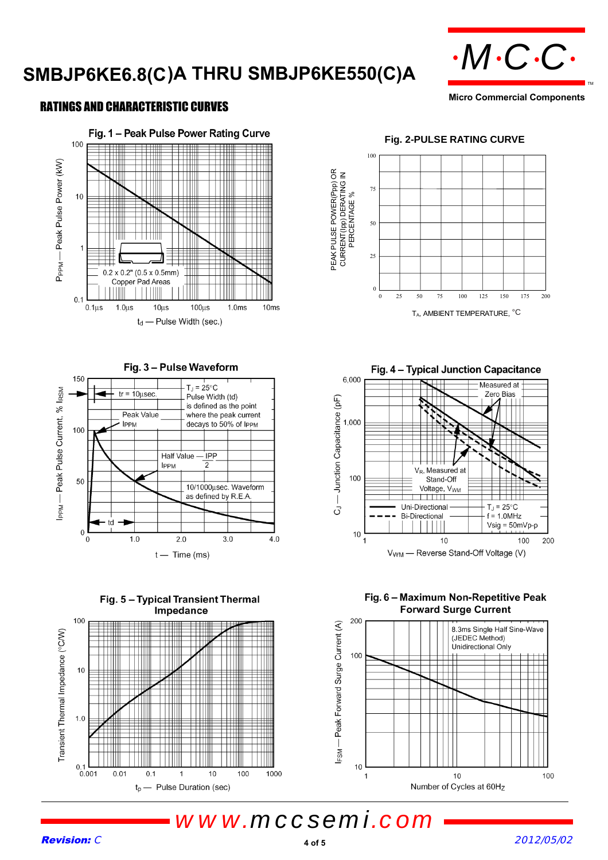# SMBJP6KE6.8(C)A THRU SMBJP6KE550(C)A  $\cdot M$ C·C·



**Micro Commercial Components**

### RATINGS AND CHARACTERISTIC CURVES









#### **Fig. 2-PULSE RATING CURVE**



Fig. 4 - Typical Junction Capacitance 6,000 Measured at Zero Bias - Junction Capacitance (pF) 1,000 V<sub>R</sub>, Measured at 100 Stand-Off Voltage, V<sub>WM</sub>  $\top$   $\top$   $\top$   $\top$ Uni-Directional  $T_J = 25^{\circ}C$  $\vec{O}$ **Bi-Directional**  $= 1.0 MHz$  $Vsig = 50mVp-p$  $10$  $10$ 100  $\overline{1}$ 200 V<sub>WM</sub> - Reverse Stand-Off Voltage (V)

Fig. 6 - Maximum Non-Repetitive Peak **Forward Surge Current**